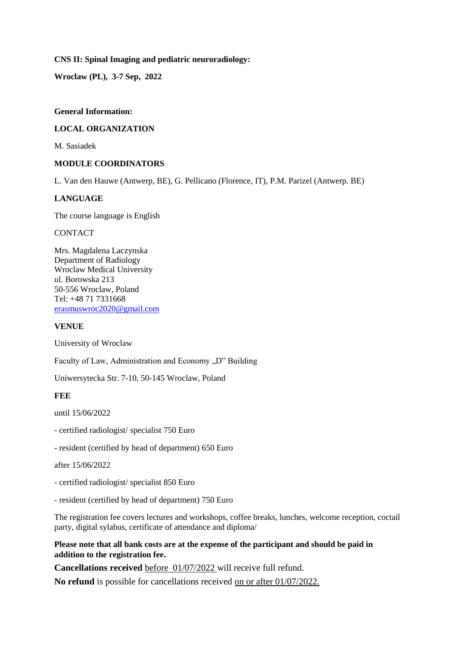**CNS II: Spinal Imaging and pediatric neuroradiology:**

**Wroclaw (PL), 3-7 Sep, 2022**

## **General Information:**

## **LOCAL ORGANIZATION**

M. Sasiadek

## **MODULE COORDINATORS**

L. Van den Hauwe (Antwerp, BE), G. Pellicano (Florence, IT), P.M. Parizel (Antwerp. BE)

## **LANGUAGE**

The course language is English

**CONTACT** 

Mrs. Magdalena Laczynska Department of Radiology Wroclaw Medical University ul. Borowska 213 50-556 Wroclaw, Poland Tel: +48 71 7331668 [erasmuswroc2020@gmail.com](mailto:erasmuswroc2020@gmail.com)

## **VENUE**

University of Wroclaw

Faculty of Law, Administration and Economy "D" Building

Uniwersytecka Str. 7-10, 50-145 Wroclaw, Poland

## **FEE**

until 15/06/2022

- certified radiologist/ specialist 750 Euro
- resident (certified by head of department) 650 Euro

after 15/06/2022

- certified radiologist/ specialist 850 Euro
- resident (certified by head of department) 750 Euro

The registration fee covers lectures and workshops, coffee breaks, lunches, welcome reception, coctail party, digital sylabus, certificate of attendance and diploma/

## **Please note that all bank costs are at the expense of the participant and should be paid in addition to the registration fee.**

**Cancellations received** before 01/07/2022 will receive full refund.

**No refund** is possible for cancellations received on or after 01/07/2022.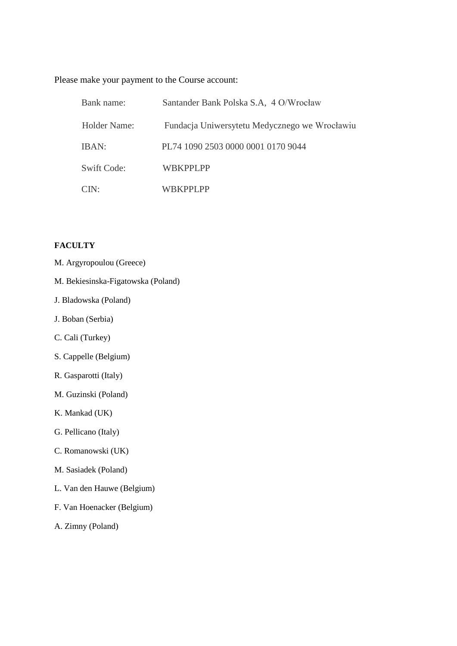Please make your payment to the Course account:

| Bank name:       | Santander Bank Polska S.A, 4 O/Wrocław        |
|------------------|-----------------------------------------------|
| Holder Name:     | Fundacja Uniwersytetu Medycznego we Wrocławiu |
| IBAN:            | PL74 1090 2503 0000 0001 0170 9044            |
| Swift Code:      | WBKPPLPP                                      |
| CIN <sup>1</sup> | WRKPPLPP                                      |

# **FACULTY**

- M. Argyropoulou (Greece)
- M. Bekiesinska-Figatowska (Poland)
- J. Bladowska (Poland)
- J. Boban (Serbia)
- C. Cali (Turkey)
- S. Cappelle (Belgium)
- R. Gasparotti (Italy)
- M. Guzinski (Poland)
- K. Mankad (UK)
- G. Pellicano (Italy)
- C. Romanowski (UK)
- M. Sasiadek (Poland)
- L. Van den Hauwe (Belgium)
- F. Van Hoenacker (Belgium)
- A. Zimny (Poland)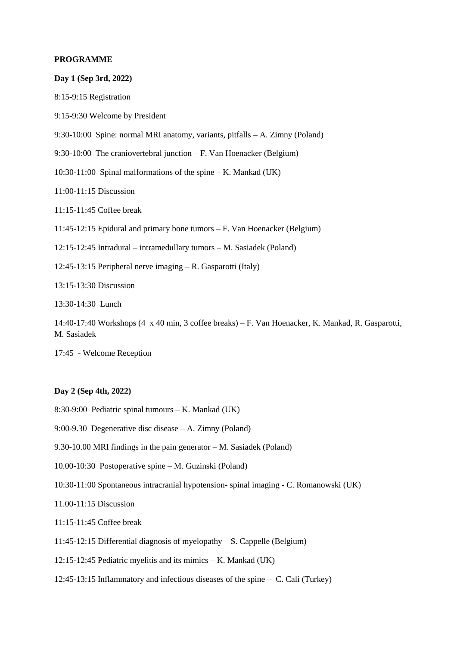### **PROGRAMME**

**Day 1 (Sep 3rd, 2022)** 8:15-9:15 Registration 9:15-9:30 Welcome by President 9:30-10:00 Spine: normal MRI anatomy, variants, pitfalls – A. Zimny (Poland) 9:30-10:00 The craniovertebral junction – F. Van Hoenacker (Belgium) 10:30-11:00 Spinal malformations of the spine  $-K$ . Mankad (UK) 11:00-11:15 Discussion 11:15-11:45 Coffee break 11:45-12:15 Epidural and primary bone tumors – F. Van Hoenacker (Belgium) 12:15-12:45 Intradural – intramedullary tumors – M. Sasiadek (Poland) 12:45-13:15 Peripheral nerve imaging – R. Gasparotti (Italy) 13:15-13:30 Discussion 13:30-14:30 Lunch 14:40-17:40 Workshops (4 x 40 min, 3 coffee breaks) – F. Van Hoenacker, K. Mankad, R. Gasparotti, M. Sasiadek 17:45 - Welcome Reception

## **Day 2 (Sep 4th, 2022)**

- 8:30-9:00 Pediatric spinal tumours K. Mankad (UK)
- 9:00-9.30 Degenerative disc disease A. Zimny (Poland)
- 9.30-10.00 MRI findings in the pain generator M. Sasiadek (Poland)
- 10.00-10:30 Postoperative spine M. Guzinski (Poland)
- 10:30-11:00 Spontaneous intracranial hypotension- spinal imaging C. Romanowski (UK)
- 11.00-11:15 Discussion
- 11:15-11:45 Coffee break
- 11:45-12:15 Differential diagnosis of myelopathy S. Cappelle (Belgium)
- 12:15-12:45 Pediatric myelitis and its mimics K. Mankad (UK)
- 12:45-13:15 Inflammatory and infectious diseases of the spine C. Cali (Turkey)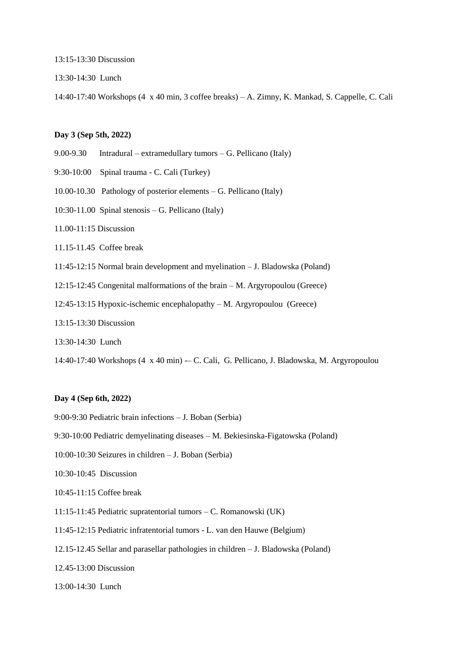13:15-13:30 Discussion

13:30-14:30 Lunch

14:40-17:40 Workshops (4 x 40 min, 3 coffee breaks) – A. Zimny, K. Mankad, S. Cappelle, C. Cali

### **Day 3 (Sep 5th, 2022)**

- 9.00-9.30 Intradural extramedullary tumors G. Pellicano (Italy)
- 9:30-10:00 Spinal trauma C. Cali (Turkey)
- 10.00-10.30 Pathology of posterior elements G. Pellicano (Italy)
- 10:30-11.00 Spinal stenosis G. Pellicano (Italy)
- 11.00-11:15 Discussion
- 11.15-11.45 Coffee break
- 11:45-12:15 Normal brain development and myelination J. Bladowska (Poland)
- 12:15-12:45 Congenital malformations of the brain M. Argyropoulou (Greece)
- 12:45-13:15 Hypoxic-ischemic encephalopathy M. Argyropoulou (Greece)
- 13:15-13:30 Discussion
- 13:30-14:30 Lunch

14:40-17:40 Workshops (4 x 40 min) -– C. Cali, G. Pellicano, J. Bladowska, M. Argyropoulou

#### **Day 4 (Sep 6th, 2022)**

- 9:00-9:30 Pediatric brain infections J. Boban (Serbia)
- 9:30-10:00 Pediatric demyelinating diseases M. Bekiesinska-Figatowska (Poland)
- 10:00-10:30 Seizures in children J. Boban (Serbia)
- 10:30-10:45 Discussion
- 10:45-11:15 Coffee break
- 11:15-11:45 Pediatric supratentorial tumors C. Romanowski (UK)
- 11:45-12:15 Pediatric infratentorial tumors L. van den Hauwe (Belgium)
- 12.15-12.45 Sellar and parasellar pathologies in children J. Bladowska (Poland)

12.45-13:00 Discussion

13:00-14:30 Lunch